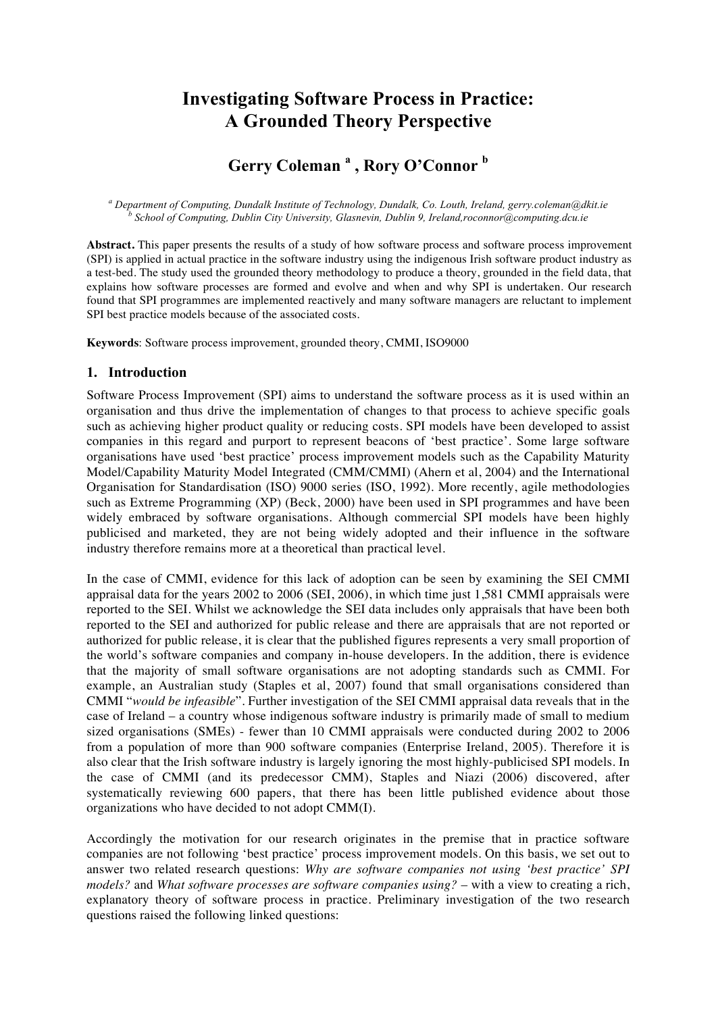# **Investigating Software Process in Practice: A Grounded Theory Perspective**

# **Gerry Coleman <sup>a</sup> , Rory O'Connor b**

<sup>a</sup> Department of Computing, Dundalk Institute of Technology, Dundalk, Co. Louth, Ireland, gerry.coleman@dkit.ie<br>b School of Computing, Dublin City University, Glasnevin, Dublin 9, Ireland,roconnor@computing.dcu.ie

**Abstract.** This paper presents the results of a study of how software process and software process improvement (SPI) is applied in actual practice in the software industry using the indigenous Irish software product industry as a test-bed. The study used the grounded theory methodology to produce a theory, grounded in the field data, that explains how software processes are formed and evolve and when and why SPI is undertaken. Our research found that SPI programmes are implemented reactively and many software managers are reluctant to implement SPI best practice models because of the associated costs.

**Keywords**: Software process improvement, grounded theory, CMMI, ISO9000

#### **1. Introduction**

Software Process Improvement (SPI) aims to understand the software process as it is used within an organisation and thus drive the implementation of changes to that process to achieve specific goals such as achieving higher product quality or reducing costs. SPI models have been developed to assist companies in this regard and purport to represent beacons of 'best practice'. Some large software organisations have used 'best practice' process improvement models such as the Capability Maturity Model/Capability Maturity Model Integrated (CMM/CMMI) (Ahern et al, 2004) and the International Organisation for Standardisation (ISO) 9000 series (ISO, 1992). More recently, agile methodologies such as Extreme Programming (XP) (Beck, 2000) have been used in SPI programmes and have been widely embraced by software organisations. Although commercial SPI models have been highly publicised and marketed, they are not being widely adopted and their influence in the software industry therefore remains more at a theoretical than practical level.

In the case of CMMI, evidence for this lack of adoption can be seen by examining the SEI CMMI appraisal data for the years 2002 to 2006 (SEI, 2006), in which time just 1,581 CMMI appraisals were reported to the SEI. Whilst we acknowledge the SEI data includes only appraisals that have been both reported to the SEI and authorized for public release and there are appraisals that are not reported or authorized for public release, it is clear that the published figures represents a very small proportion of the world's software companies and company in-house developers. In the addition, there is evidence that the majority of small software organisations are not adopting standards such as CMMI. For example, an Australian study (Staples et al, 2007) found that small organisations considered than CMMI "*would be infeasible*". Further investigation of the SEI CMMI appraisal data reveals that in the case of Ireland – a country whose indigenous software industry is primarily made of small to medium sized organisations (SMEs) - fewer than 10 CMMI appraisals were conducted during 2002 to 2006 from a population of more than 900 software companies (Enterprise Ireland, 2005). Therefore it is also clear that the Irish software industry is largely ignoring the most highly-publicised SPI models. In the case of CMMI (and its predecessor CMM), Staples and Niazi (2006) discovered, after systematically reviewing 600 papers, that there has been little published evidence about those organizations who have decided to not adopt CMM(I).

Accordingly the motivation for our research originates in the premise that in practice software companies are not following 'best practice' process improvement models. On this basis, we set out to answer two related research questions: *Why are software companies not using 'best practice' SPI models?* and *What software processes are software companies using?* – with a view to creating a rich, explanatory theory of software process in practice. Preliminary investigation of the two research questions raised the following linked questions: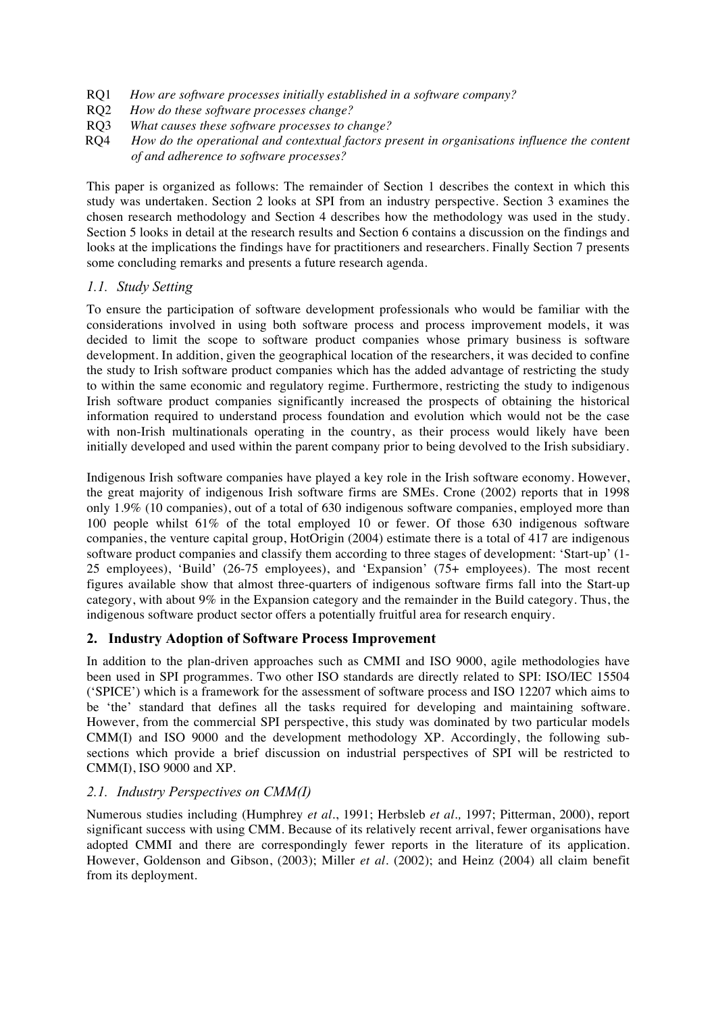- RQ1 *How are software processes initially established in a software company?*
- RQ2 *How do these software processes change?*
- RQ3 *What causes these software processes to change?*
- RQ4 *How do the operational and contextual factors present in organisations influence the content of and adherence to software processes?*

This paper is organized as follows: The remainder of Section 1 describes the context in which this study was undertaken. Section 2 looks at SPI from an industry perspective. Section 3 examines the chosen research methodology and Section 4 describes how the methodology was used in the study. Section 5 looks in detail at the research results and Section 6 contains a discussion on the findings and looks at the implications the findings have for practitioners and researchers. Finally Section 7 presents some concluding remarks and presents a future research agenda.

### *1.1. Study Setting*

To ensure the participation of software development professionals who would be familiar with the considerations involved in using both software process and process improvement models, it was decided to limit the scope to software product companies whose primary business is software development. In addition, given the geographical location of the researchers, it was decided to confine the study to Irish software product companies which has the added advantage of restricting the study to within the same economic and regulatory regime. Furthermore, restricting the study to indigenous Irish software product companies significantly increased the prospects of obtaining the historical information required to understand process foundation and evolution which would not be the case with non-Irish multinationals operating in the country, as their process would likely have been initially developed and used within the parent company prior to being devolved to the Irish subsidiary.

Indigenous Irish software companies have played a key role in the Irish software economy. However, the great majority of indigenous Irish software firms are SMEs. Crone (2002) reports that in 1998 only 1.9% (10 companies), out of a total of 630 indigenous software companies, employed more than 100 people whilst 61% of the total employed 10 or fewer. Of those 630 indigenous software companies, the venture capital group, HotOrigin (2004) estimate there is a total of 417 are indigenous software product companies and classify them according to three stages of development: 'Start-up' (1- 25 employees), 'Build' (26-75 employees), and 'Expansion' (75+ employees). The most recent figures available show that almost three-quarters of indigenous software firms fall into the Start-up category, with about 9% in the Expansion category and the remainder in the Build category. Thus, the indigenous software product sector offers a potentially fruitful area for research enquiry.

## **2. Industry Adoption of Software Process Improvement**

In addition to the plan-driven approaches such as CMMI and ISO 9000, agile methodologies have been used in SPI programmes. Two other ISO standards are directly related to SPI: ISO/IEC 15504 ('SPICE') which is a framework for the assessment of software process and ISO 12207 which aims to be 'the' standard that defines all the tasks required for developing and maintaining software. However, from the commercial SPI perspective, this study was dominated by two particular models CMM(I) and ISO 9000 and the development methodology XP. Accordingly, the following subsections which provide a brief discussion on industrial perspectives of SPI will be restricted to CMM(I), ISO 9000 and XP.

## *2.1. Industry Perspectives on CMM(I)*

Numerous studies including (Humphrey *et al.*, 1991; Herbsleb *et al.,* 1997; Pitterman, 2000), report significant success with using CMM. Because of its relatively recent arrival, fewer organisations have adopted CMMI and there are correspondingly fewer reports in the literature of its application. However, Goldenson and Gibson, (2003); Miller *et al.* (2002); and Heinz (2004) all claim benefit from its deployment.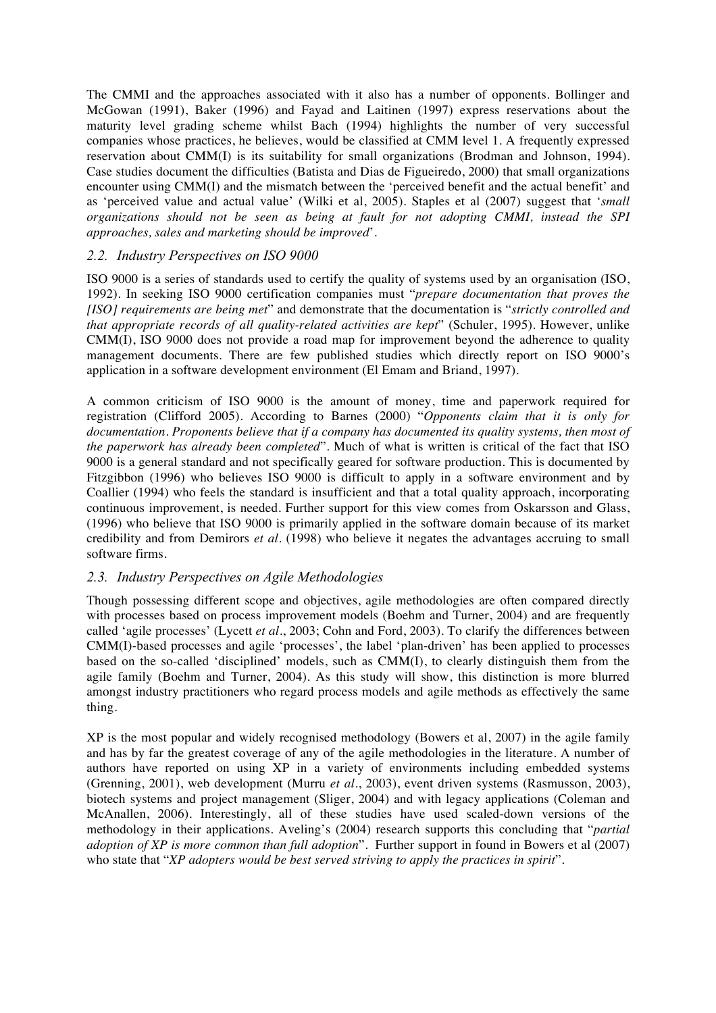The CMMI and the approaches associated with it also has a number of opponents. Bollinger and McGowan (1991), Baker (1996) and Fayad and Laitinen (1997) express reservations about the maturity level grading scheme whilst Bach (1994) highlights the number of very successful companies whose practices, he believes, would be classified at CMM level 1. A frequently expressed reservation about CMM(I) is its suitability for small organizations (Brodman and Johnson, 1994). Case studies document the difficulties (Batista and Dias de Figueiredo, 2000) that small organizations encounter using CMM(I) and the mismatch between the 'perceived benefit and the actual benefit' and as 'perceived value and actual value' (Wilki et al, 2005). Staples et al (2007) suggest that '*small organizations should not be seen as being at fault for not adopting CMMI, instead the SPI approaches, sales and marketing should be improved*'.

## *2.2. Industry Perspectives on ISO 9000*

ISO 9000 is a series of standards used to certify the quality of systems used by an organisation (ISO, 1992). In seeking ISO 9000 certification companies must "*prepare documentation that proves the [ISO] requirements are being met*" and demonstrate that the documentation is "*strictly controlled and that appropriate records of all quality-related activities are kept*" (Schuler, 1995). However, unlike CMM(I), ISO 9000 does not provide a road map for improvement beyond the adherence to quality management documents. There are few published studies which directly report on ISO 9000's application in a software development environment (El Emam and Briand, 1997).

A common criticism of ISO 9000 is the amount of money, time and paperwork required for registration (Clifford 2005). According to Barnes (2000) "*Opponents claim that it is only for documentation. Proponents believe that if a company has documented its quality systems, then most of the paperwork has already been completed*". Much of what is written is critical of the fact that ISO 9000 is a general standard and not specifically geared for software production. This is documented by Fitzgibbon (1996) who believes ISO 9000 is difficult to apply in a software environment and by Coallier (1994) who feels the standard is insufficient and that a total quality approach, incorporating continuous improvement, is needed. Further support for this view comes from Oskarsson and Glass, (1996) who believe that ISO 9000 is primarily applied in the software domain because of its market credibility and from Demirors *et al.* (1998) who believe it negates the advantages accruing to small software firms.

## *2.3. Industry Perspectives on Agile Methodologies*

Though possessing different scope and objectives, agile methodologies are often compared directly with processes based on process improvement models (Boehm and Turner, 2004) and are frequently called 'agile processes' (Lycett *et al.*, 2003; Cohn and Ford, 2003). To clarify the differences between CMM(I)-based processes and agile 'processes', the label 'plan-driven' has been applied to processes based on the so-called 'disciplined' models, such as CMM(I), to clearly distinguish them from the agile family (Boehm and Turner, 2004). As this study will show, this distinction is more blurred amongst industry practitioners who regard process models and agile methods as effectively the same thing.

XP is the most popular and widely recognised methodology (Bowers et al, 2007) in the agile family and has by far the greatest coverage of any of the agile methodologies in the literature. A number of authors have reported on using XP in a variety of environments including embedded systems (Grenning, 2001), web development (Murru *et al.*, 2003), event driven systems (Rasmusson, 2003), biotech systems and project management (Sliger, 2004) and with legacy applications (Coleman and McAnallen, 2006). Interestingly, all of these studies have used scaled-down versions of the methodology in their applications. Aveling's (2004) research supports this concluding that "*partial adoption of XP is more common than full adoption*". Further support in found in Bowers et al (2007) who state that "*XP adopters would be best served striving to apply the practices in spirit*".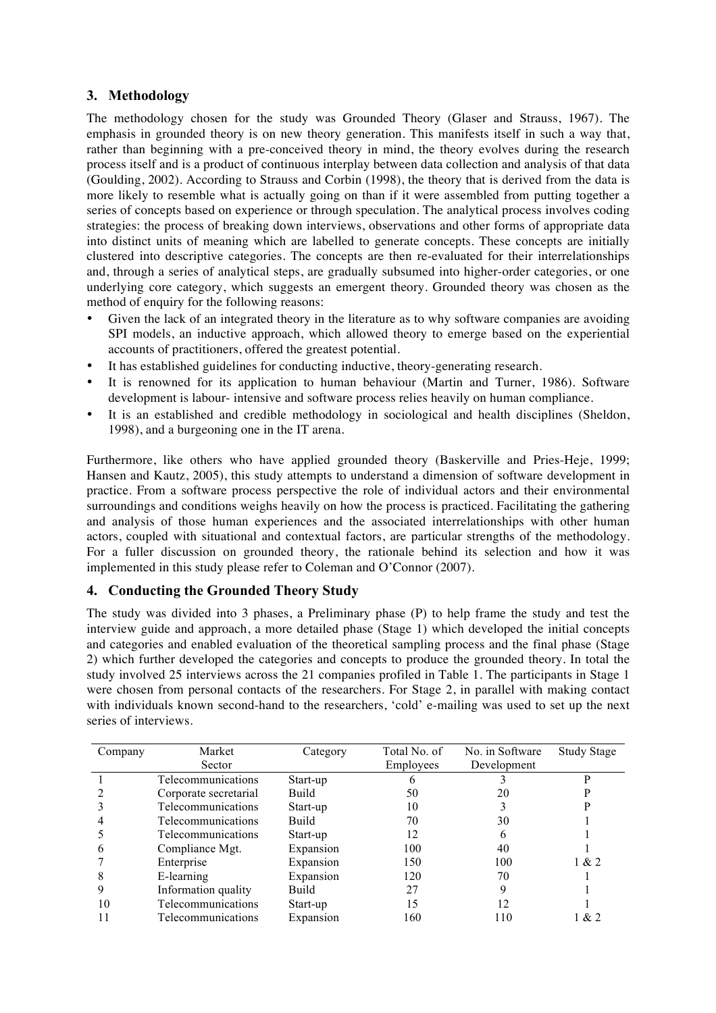## **3. Methodology**

The methodology chosen for the study was Grounded Theory (Glaser and Strauss, 1967). The emphasis in grounded theory is on new theory generation. This manifests itself in such a way that, rather than beginning with a pre-conceived theory in mind, the theory evolves during the research process itself and is a product of continuous interplay between data collection and analysis of that data (Goulding, 2002). According to Strauss and Corbin (1998), the theory that is derived from the data is more likely to resemble what is actually going on than if it were assembled from putting together a series of concepts based on experience or through speculation. The analytical process involves coding strategies: the process of breaking down interviews, observations and other forms of appropriate data into distinct units of meaning which are labelled to generate concepts. These concepts are initially clustered into descriptive categories. The concepts are then re-evaluated for their interrelationships and, through a series of analytical steps, are gradually subsumed into higher-order categories, or one underlying core category, which suggests an emergent theory. Grounded theory was chosen as the method of enquiry for the following reasons:

- Given the lack of an integrated theory in the literature as to why software companies are avoiding SPI models, an inductive approach, which allowed theory to emerge based on the experiential accounts of practitioners, offered the greatest potential.
- It has established guidelines for conducting inductive, theory-generating research.
- It is renowned for its application to human behaviour (Martin and Turner, 1986). Software development is labour- intensive and software process relies heavily on human compliance.
- It is an established and credible methodology in sociological and health disciplines (Sheldon, 1998), and a burgeoning one in the IT arena.

Furthermore, like others who have applied grounded theory (Baskerville and Pries-Heje, 1999; Hansen and Kautz, 2005), this study attempts to understand a dimension of software development in practice. From a software process perspective the role of individual actors and their environmental surroundings and conditions weighs heavily on how the process is practiced. Facilitating the gathering and analysis of those human experiences and the associated interrelationships with other human actors, coupled with situational and contextual factors, are particular strengths of the methodology. For a fuller discussion on grounded theory, the rationale behind its selection and how it was implemented in this study please refer to Coleman and O'Connor (2007).

## **4. Conducting the Grounded Theory Study**

The study was divided into 3 phases, a Preliminary phase (P) to help frame the study and test the interview guide and approach, a more detailed phase (Stage 1) which developed the initial concepts and categories and enabled evaluation of the theoretical sampling process and the final phase (Stage 2) which further developed the categories and concepts to produce the grounded theory. In total the study involved 25 interviews across the 21 companies profiled in Table 1. The participants in Stage 1 were chosen from personal contacts of the researchers. For Stage 2, in parallel with making contact with individuals known second-hand to the researchers, 'cold' e-mailing was used to set up the next series of interviews.

| Company | Market                    | Category     | Total No. of | No. in Software | <b>Study Stage</b> |
|---------|---------------------------|--------------|--------------|-----------------|--------------------|
|         | Sector                    |              | Employees    | Development     |                    |
|         | Telecommunications        | Start-up     |              |                 | P                  |
|         | Corporate secretarial     | Build        | 50           | 20              |                    |
|         | Telecommunications        | Start-up     | 10           |                 |                    |
|         | <b>Telecommunications</b> | <b>Build</b> | 70           | 30              |                    |
|         | <b>Telecommunications</b> | Start-up     | 12           | h               |                    |
| h       | Compliance Mgt.           | Expansion    | 100          | 40              |                    |
|         | Enterprise                | Expansion    | 150          | 100             | 1 & 2              |
|         | E-learning                | Expansion    | 120          | 70              |                    |
|         | Information quality       | Build        | 27           | 9               |                    |
| 10      | Telecommunications        | Start-up     | 15           | 12              |                    |
|         | Telecommunications        | Expansion    | 160          | 110             | 1 & 2              |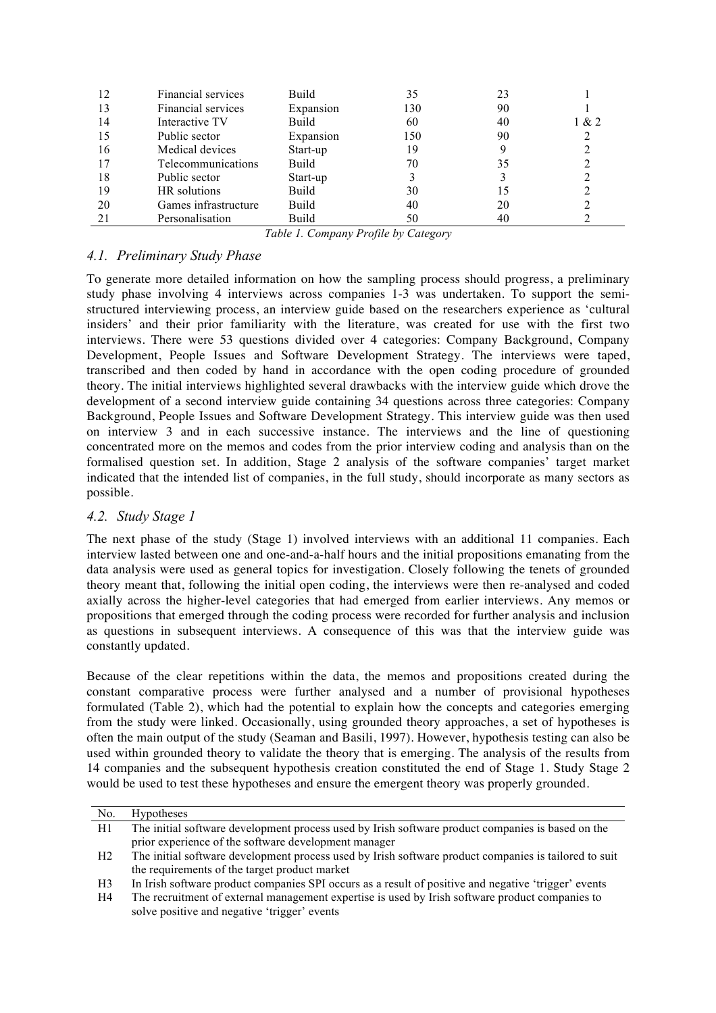| 12 | Financial services        | <b>Build</b> | 35  | 23 |       |
|----|---------------------------|--------------|-----|----|-------|
| 13 | Financial services        | Expansion    | 130 | 90 |       |
| 14 | Interactive TV            | Build        | 60  | 40 | 1 & 2 |
| 15 | Public sector             | Expansion    | 150 | 90 |       |
| 16 | Medical devices           | Start-up     | 19  |    |       |
| 17 | <b>Telecommunications</b> | <b>Build</b> | 70  | 35 |       |
| 18 | Public sector             | Start-up     |     |    |       |
| 19 | HR solutions              | Build        | 30  | 15 |       |
| 20 | Games infrastructure      | Build        | 40  | 20 |       |
| 21 | Personalisation           | Build        | 50  | 40 |       |

*Table 1. Company Profile by Category*

## *4.1. Preliminary Study Phase*

To generate more detailed information on how the sampling process should progress, a preliminary study phase involving 4 interviews across companies 1-3 was undertaken. To support the semistructured interviewing process, an interview guide based on the researchers experience as 'cultural insiders' and their prior familiarity with the literature, was created for use with the first two interviews. There were 53 questions divided over 4 categories: Company Background, Company Development, People Issues and Software Development Strategy. The interviews were taped, transcribed and then coded by hand in accordance with the open coding procedure of grounded theory. The initial interviews highlighted several drawbacks with the interview guide which drove the development of a second interview guide containing 34 questions across three categories: Company Background, People Issues and Software Development Strategy. This interview guide was then used on interview 3 and in each successive instance. The interviews and the line of questioning concentrated more on the memos and codes from the prior interview coding and analysis than on the formalised question set. In addition, Stage 2 analysis of the software companies' target market indicated that the intended list of companies, in the full study, should incorporate as many sectors as possible.

## *4.2. Study Stage 1*

The next phase of the study (Stage 1) involved interviews with an additional 11 companies. Each interview lasted between one and one-and-a-half hours and the initial propositions emanating from the data analysis were used as general topics for investigation. Closely following the tenets of grounded theory meant that, following the initial open coding, the interviews were then re-analysed and coded axially across the higher-level categories that had emerged from earlier interviews. Any memos or propositions that emerged through the coding process were recorded for further analysis and inclusion as questions in subsequent interviews. A consequence of this was that the interview guide was constantly updated.

Because of the clear repetitions within the data, the memos and propositions created during the constant comparative process were further analysed and a number of provisional hypotheses formulated (Table 2), which had the potential to explain how the concepts and categories emerging from the study were linked. Occasionally, using grounded theory approaches, a set of hypotheses is often the main output of the study (Seaman and Basili, 1997). However, hypothesis testing can also be used within grounded theory to validate the theory that is emerging. The analysis of the results from 14 companies and the subsequent hypothesis creation constituted the end of Stage 1. Study Stage 2 would be used to test these hypotheses and ensure the emergent theory was properly grounded.

| The initial software development process used by Irish software product companies is based on the     |
|-------------------------------------------------------------------------------------------------------|
|                                                                                                       |
| The initial software development process used by Irish software product companies is tailored to suit |
|                                                                                                       |
| In Irish software product companies SPI occurs as a result of positive and negative 'trigger' events  |
| The recruitment of external management expertise is used by Irish software product companies to       |
|                                                                                                       |
|                                                                                                       |
|                                                                                                       |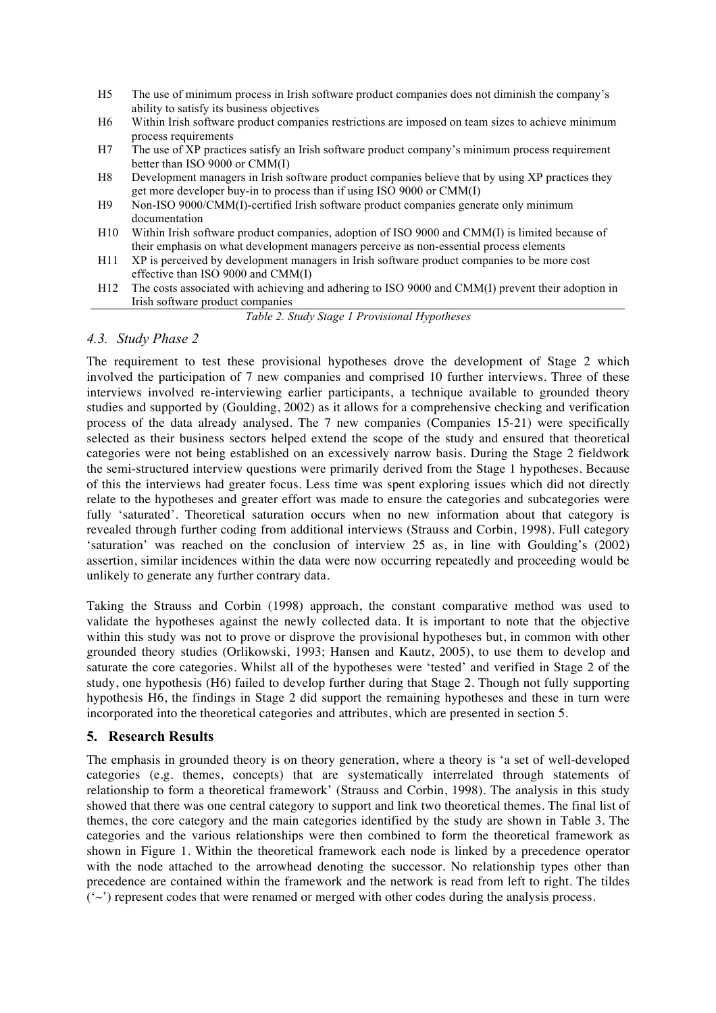- H5 The use of minimum process in Irish software product companies does not diminish the company's ability to satisfy its business objectives
- H6 Within Irish software product companies restrictions are imposed on team sizes to achieve minimum process requirements
- H7 The use of XP practices satisfy an Irish software product company's minimum process requirement better than ISO 9000 or CMM(I)
- H8 Development managers in Irish software product companies believe that by using XP practices they get more developer buy-in to process than if using ISO 9000 or CMM(I)
- H9 Non-ISO 9000/CMM(I)-certified Irish software product companies generate only minimum documentation
- H10 Within Irish software product companies, adoption of ISO 9000 and CMM(I) is limited because of their emphasis on what development managers perceive as non-essential process elements
- H11 XP is perceived by development managers in Irish software product companies to be more cost effective than ISO 9000 and CMM(I)
- H12 The costs associated with achieving and adhering to ISO 9000 and CMM(I) prevent their adoption in Irish software product companies

*Table 2. Study Stage 1 Provisional Hypotheses*

#### *4.3. Study Phase 2*

The requirement to test these provisional hypotheses drove the development of Stage 2 which involved the participation of 7 new companies and comprised 10 further interviews. Three of these interviews involved re-interviewing earlier participants, a technique available to grounded theory studies and supported by (Goulding, 2002) as it allows for a comprehensive checking and verification process of the data already analysed. The 7 new companies (Companies 15-21) were specifically selected as their business sectors helped extend the scope of the study and ensured that theoretical categories were not being established on an excessively narrow basis. During the Stage 2 fieldwork the semi-structured interview questions were primarily derived from the Stage 1 hypotheses. Because of this the interviews had greater focus. Less time was spent exploring issues which did not directly relate to the hypotheses and greater effort was made to ensure the categories and subcategories were fully 'saturated'. Theoretical saturation occurs when no new information about that category is revealed through further coding from additional interviews (Strauss and Corbin, 1998). Full category 'saturation' was reached on the conclusion of interview 25 as, in line with Goulding's (2002) assertion, similar incidences within the data were now occurring repeatedly and proceeding would be unlikely to generate any further contrary data.

Taking the Strauss and Corbin (1998) approach, the constant comparative method was used to validate the hypotheses against the newly collected data. It is important to note that the objective within this study was not to prove or disprove the provisional hypotheses but, in common with other grounded theory studies (Orlikowski, 1993; Hansen and Kautz, 2005), to use them to develop and saturate the core categories. Whilst all of the hypotheses were 'tested' and verified in Stage 2 of the study, one hypothesis (H6) failed to develop further during that Stage 2. Though not fully supporting hypothesis H6, the findings in Stage 2 did support the remaining hypotheses and these in turn were incorporated into the theoretical categories and attributes, which are presented in section 5.

#### **5. Research Results**

The emphasis in grounded theory is on theory generation, where a theory is 'a set of well-developed categories (e.g. themes, concepts) that are systematically interrelated through statements of relationship to form a theoretical framework' (Strauss and Corbin, 1998). The analysis in this study showed that there was one central category to support and link two theoretical themes. The final list of themes, the core category and the main categories identified by the study are shown in Table 3. The categories and the various relationships were then combined to form the theoretical framework as shown in Figure 1. Within the theoretical framework each node is linked by a precedence operator with the node attached to the arrowhead denoting the successor. No relationship types other than precedence are contained within the framework and the network is read from left to right. The tildes  $(\sim)$  represent codes that were renamed or merged with other codes during the analysis process.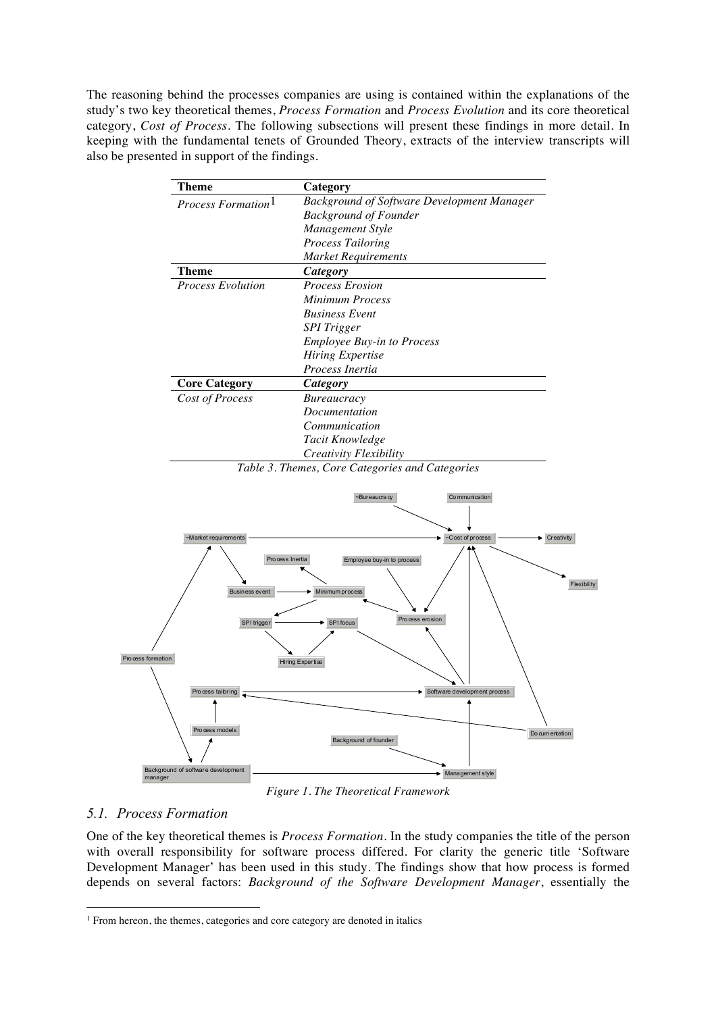The reasoning behind the processes companies are using is contained within the explanations of the study's two key theoretical themes, *Process Formation* and *Process Evolution* and its core theoretical category, *Cost of Process*. The following subsections will present these findings in more detail. In keeping with the fundamental tenets of Grounded Theory, extracts of the interview transcripts will also be presented in support of the findings.

| Theme                          | Category                                          |  |  |
|--------------------------------|---------------------------------------------------|--|--|
| Process Formation <sup>1</sup> | <b>Background of Software Development Manager</b> |  |  |
|                                | <b>Background of Founder</b>                      |  |  |
|                                | Management Style                                  |  |  |
|                                | <b>Process Tailoring</b>                          |  |  |
|                                | <b>Market Requirements</b>                        |  |  |
| Theme                          | Category                                          |  |  |
| <b>Process Evolution</b>       | <b>Process Erosion</b>                            |  |  |
|                                | Minimum Process                                   |  |  |
|                                | <b>Business Event</b>                             |  |  |
|                                | <b>SPI</b> Trigger                                |  |  |
|                                | <b>Employee Buy-in to Process</b>                 |  |  |
|                                | <b>Hiring Expertise</b>                           |  |  |
|                                | Process Inertia                                   |  |  |
| <b>Core Category</b>           | Category                                          |  |  |
| Cost of Process                | <i>Bureaucracy</i>                                |  |  |
|                                | <i>Documentation</i>                              |  |  |
|                                | Communication                                     |  |  |
|                                | Tacit Knowledge                                   |  |  |
|                                | Creativity Flexibility                            |  |  |

*Table 3. Themes, Core Categories and Categories*



*Figure 1. The Theoretical Framework*

## *5.1. Process Formation*

 $\overline{a}$ 

One of the key theoretical themes is *Process Formation*. In the study companies the title of the person with overall responsibility for software process differed. For clarity the generic title 'Software Development Manager' has been used in this study. The findings show that how process is formed depends on several factors: *Background of the Software Development Manager*, essentially the

<sup>&</sup>lt;sup>1</sup> From hereon, the themes, categories and core category are denoted in italics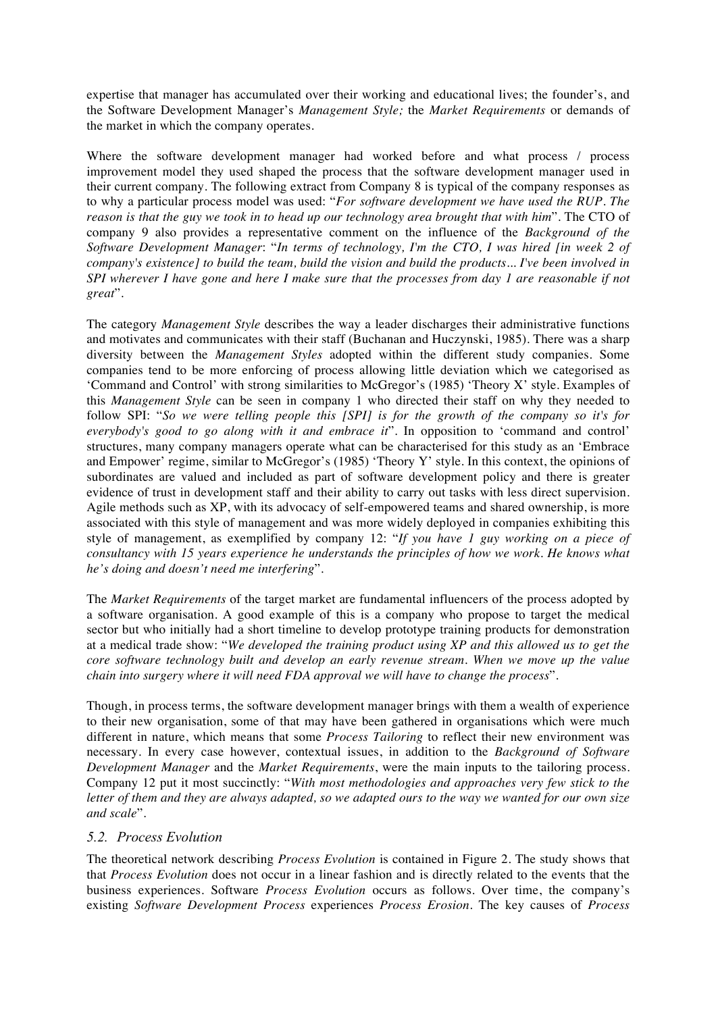expertise that manager has accumulated over their working and educational lives; the founder's, and the Software Development Manager's *Management Style;* the *Market Requirements* or demands of the market in which the company operates.

Where the software development manager had worked before and what process / process improvement model they used shaped the process that the software development manager used in their current company. The following extract from Company 8 is typical of the company responses as to why a particular process model was used: "*For software development we have used the RUP. The reason is that the guy we took in to head up our technology area brought that with him*". The CTO of company 9 also provides a representative comment on the influence of the *Background of the Software Development Manager*: "*In terms of technology, I'm the CTO, I was hired [in week 2 of company's existence] to build the team, build the vision and build the products... I've been involved in SPI wherever I have gone and here I make sure that the processes from day 1 are reasonable if not great*".

The category *Management Style* describes the way a leader discharges their administrative functions and motivates and communicates with their staff (Buchanan and Huczynski, 1985). There was a sharp diversity between the *Management Styles* adopted within the different study companies. Some companies tend to be more enforcing of process allowing little deviation which we categorised as 'Command and Control' with strong similarities to McGregor's (1985) 'Theory X' style. Examples of this *Management Style* can be seen in company 1 who directed their staff on why they needed to follow SPI: "*So we were telling people this [SPI] is for the growth of the company so it's for everybody's good to go along with it and embrace it*". In opposition to 'command and control' structures, many company managers operate what can be characterised for this study as an 'Embrace and Empower' regime, similar to McGregor's (1985) 'Theory Y' style. In this context, the opinions of subordinates are valued and included as part of software development policy and there is greater evidence of trust in development staff and their ability to carry out tasks with less direct supervision. Agile methods such as XP, with its advocacy of self-empowered teams and shared ownership, is more associated with this style of management and was more widely deployed in companies exhibiting this style of management, as exemplified by company 12: "*If you have 1 guy working on a piece of consultancy with 15 years experience he understands the principles of how we work. He knows what he's doing and doesn't need me interfering*".

The *Market Requirements* of the target market are fundamental influencers of the process adopted by a software organisation. A good example of this is a company who propose to target the medical sector but who initially had a short timeline to develop prototype training products for demonstration at a medical trade show: "*We developed the training product using XP and this allowed us to get the core software technology built and develop an early revenue stream. When we move up the value chain into surgery where it will need FDA approval we will have to change the process*".

Though, in process terms, the software development manager brings with them a wealth of experience to their new organisation, some of that may have been gathered in organisations which were much different in nature, which means that some *Process Tailoring* to reflect their new environment was necessary. In every case however, contextual issues, in addition to the *Background of Software Development Manager* and the *Market Requirements*, were the main inputs to the tailoring process. Company 12 put it most succinctly: "*With most methodologies and approaches very few stick to the letter of them and they are always adapted, so we adapted ours to the way we wanted for our own size and scale*".

#### *5.2. Process Evolution*

The theoretical network describing *Process Evolution* is contained in Figure 2. The study shows that that *Process Evolution* does not occur in a linear fashion and is directly related to the events that the business experiences. Software *Process Evolution* occurs as follows. Over time, the company's existing *Software Development Process* experiences *Process Erosion*. The key causes of *Process*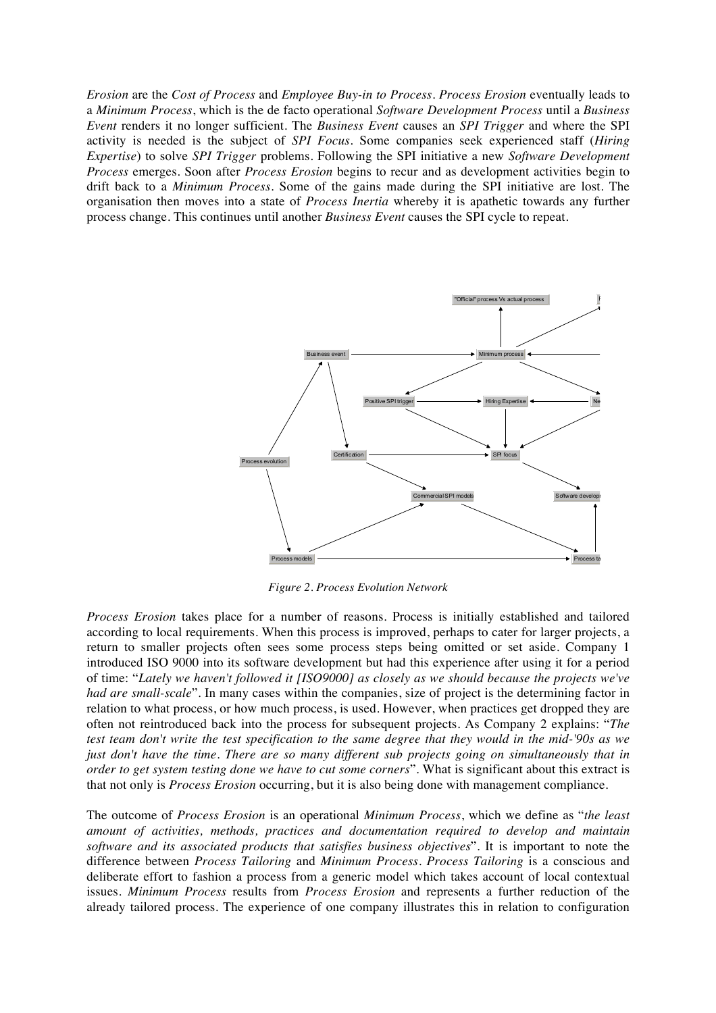*Erosion* are the *Cost of Process* and *Employee Buy-in to Process*. *Process Erosion* eventually leads to a *Minimum Process*, which is the de facto operational *Software Development Process* until a *Business Event* renders it no longer sufficient. The *Business Event* causes an *SPI Trigger* and where the SPI activity is needed is the subject of *SPI Focus*. Some companies seek experienced staff (*Hiring Expertise*) to solve *SPI Trigger* problems. Following the SPI initiative a new *Software Development Process* emerges. Soon after *Process Erosion* begins to recur and as development activities begin to drift back to a *Minimum Process*. Some of the gains made during the SPI initiative are lost. The organisation then moves into a state of *Process Inertia* whereby it is apathetic towards any further process change. This continues until another *Business Event* causes the SPI cycle to repeat.



*Figure 2. Process Evolution Network*

Process Erosion takes place for a number of reasons. Process is initially established and tailored according to local requirements. When this process is improved, perhaps to cater for larger projects, a return to smaller projects often sees some process steps being omitted or set aside. Company 1 introduced ISO 9000 into its software development but had this experience after using it for a period of time: "*Lately we haven't followed it [ISO9000] as closely as we should because the projects we've had are small-scale*". In many cases within the companies, size of project is the determining factor in relation to what process, or how much process, is used. However, when practices get dropped they are often not reintroduced back into the process for subsequent projects. As Company 2 explains: "*The test team don't write the test specification to the same degree that they would in the mid-'90s as we just don't have the time. There are so many different sub projects going on simultaneously that in order to get system testing done we have to cut some corners*". What is significant about this extract is that not only is *Process Erosion* occurring, but it is also being done with management compliance.

The outcome of *Process Erosion* is an operational *Minimum Process*, which we define as "*the least amount of activities, methods, practices and documentation required to develop and maintain software and its associated products that satisfies business objectives*". It is important to note the difference between *Process Tailoring* and *Minimum Process*. *Process Tailoring* is a conscious and deliberate effort to fashion a process from a generic model which takes account of local contextual issues. *Minimum Process* results from *Process Erosion* and represents a further reduction of the already tailored process. The experience of one company illustrates this in relation to configuration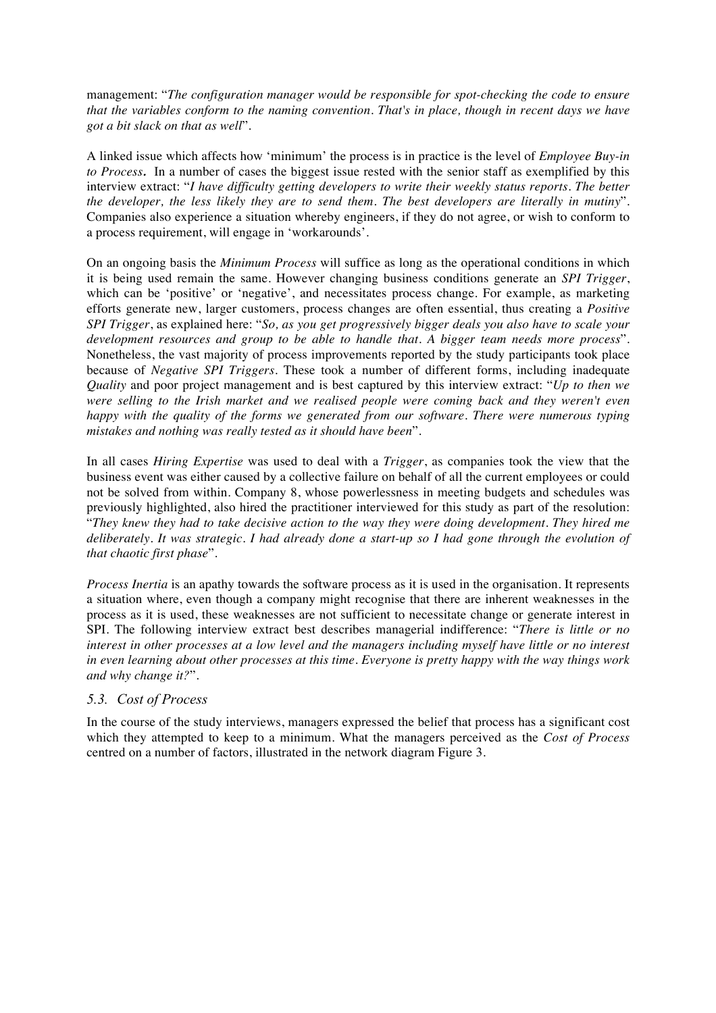management: "*The configuration manager would be responsible for spot-checking the code to ensure that the variables conform to the naming convention. That's in place, though in recent days we have got a bit slack on that as well*".

A linked issue which affects how 'minimum' the process is in practice is the level of *Employee Buy-in to Process.* In a number of cases the biggest issue rested with the senior staff as exemplified by this interview extract: "*I have difficulty getting developers to write their weekly status reports. The better the developer, the less likely they are to send them. The best developers are literally in mutiny*". Companies also experience a situation whereby engineers, if they do not agree, or wish to conform to a process requirement, will engage in 'workarounds'.

On an ongoing basis the *Minimum Process* will suffice as long as the operational conditions in which it is being used remain the same. However changing business conditions generate an *SPI Trigger*, which can be 'positive' or 'negative', and necessitates process change. For example, as marketing efforts generate new, larger customers, process changes are often essential, thus creating a *Positive SPI Trigger*, as explained here: "*So, as you get progressively bigger deals you also have to scale your development resources and group to be able to handle that. A bigger team needs more process*". Nonetheless, the vast majority of process improvements reported by the study participants took place because of *Negative SPI Triggers*. These took a number of different forms, including inadequate *Quality* and poor project management and is best captured by this interview extract: "*Up to then we were selling to the Irish market and we realised people were coming back and they weren't even happy with the quality of the forms we generated from our software. There were numerous typing mistakes and nothing was really tested as it should have been*".

In all cases *Hiring Expertise* was used to deal with a *Trigger*, as companies took the view that the business event was either caused by a collective failure on behalf of all the current employees or could not be solved from within. Company 8, whose powerlessness in meeting budgets and schedules was previously highlighted, also hired the practitioner interviewed for this study as part of the resolution: "*They knew they had to take decisive action to the way they were doing development. They hired me deliberately. It was strategic. I had already done a start-up so I had gone through the evolution of that chaotic first phase*".

*Process Inertia* is an apathy towards the software process as it is used in the organisation. It represents a situation where, even though a company might recognise that there are inherent weaknesses in the process as it is used, these weaknesses are not sufficient to necessitate change or generate interest in SPI. The following interview extract best describes managerial indifference: "*There is little or no interest in other processes at a low level and the managers including myself have little or no interest in even learning about other processes at this time. Everyone is pretty happy with the way things work and why change it?*".

## *5.3. Cost of Process*

In the course of the study interviews, managers expressed the belief that process has a significant cost which they attempted to keep to a minimum. What the managers perceived as the *Cost of Process*  centred on a number of factors, illustrated in the network diagram Figure 3.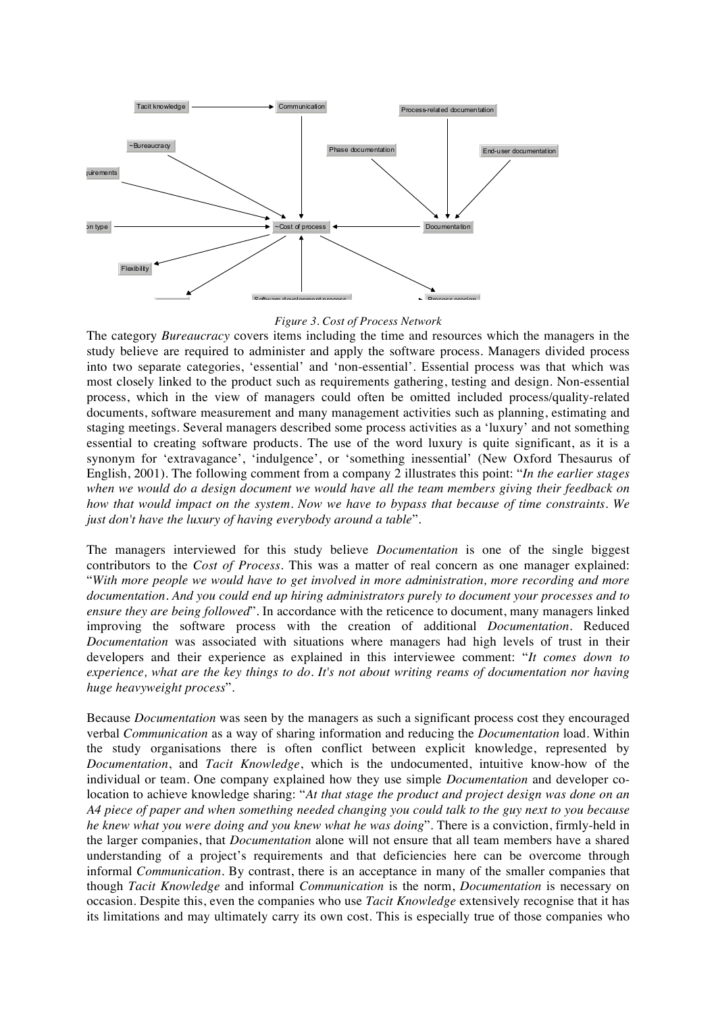

#### *Figure 3. Cost of Process Network*

The category *Bureaucracy* covers items including the time and resources which the managers in the study believe are required to administer and apply the software process. Managers divided process into two separate categories, 'essential' and 'non-essential'. Essential process was that which was most closely linked to the product such as requirements gathering, testing and design. Non-essential process, which in the view of managers could often be omitted included process/quality-related documents, software measurement and many management activities such as planning, estimating and staging meetings. Several managers described some process activities as a 'luxury' and not something essential to creating software products. The use of the word luxury is quite significant, as it is a synonym for 'extravagance', 'indulgence', or 'something inessential' (New Oxford Thesaurus of English, 2001). The following comment from a company 2 illustrates this point: "*In the earlier stages when we would do a design document we would have all the team members giving their feedback on how that would impact on the system. Now we have to bypass that because of time constraints. We just don't have the luxury of having everybody around a table*".

The managers interviewed for this study believe *Documentation* is one of the single biggest contributors to the *Cost of Process*. This was a matter of real concern as one manager explained: "*With more people we would have to get involved in more administration, more recording and more documentation. And you could end up hiring administrators purely to document your processes and to ensure they are being followed*". In accordance with the reticence to document, many managers linked improving the software process with the creation of additional *Documentation*. Reduced *Documentation* was associated with situations where managers had high levels of trust in their developers and their experience as explained in this interviewee comment: "*It comes down to experience, what are the key things to do. It's not about writing reams of documentation nor having huge heavyweight process*".

Because *Documentation* was seen by the managers as such a significant process cost they encouraged verbal *Communication* as a way of sharing information and reducing the *Documentation* load. Within the study organisations there is often conflict between explicit knowledge, represented by *Documentation*, and *Tacit Knowledge*, which is the undocumented, intuitive know-how of the individual or team. One company explained how they use simple *Documentation* and developer colocation to achieve knowledge sharing: "*At that stage the product and project design was done on an A4 piece of paper and when something needed changing you could talk to the guy next to you because he knew what you were doing and you knew what he was doing*". There is a conviction, firmly-held in the larger companies, that *Documentation* alone will not ensure that all team members have a shared understanding of a project's requirements and that deficiencies here can be overcome through informal *Communication*. By contrast, there is an acceptance in many of the smaller companies that though *Tacit Knowledge* and informal *Communication* is the norm, *Documentation* is necessary on occasion. Despite this, even the companies who use *Tacit Knowledge* extensively recognise that it has its limitations and may ultimately carry its own cost. This is especially true of those companies who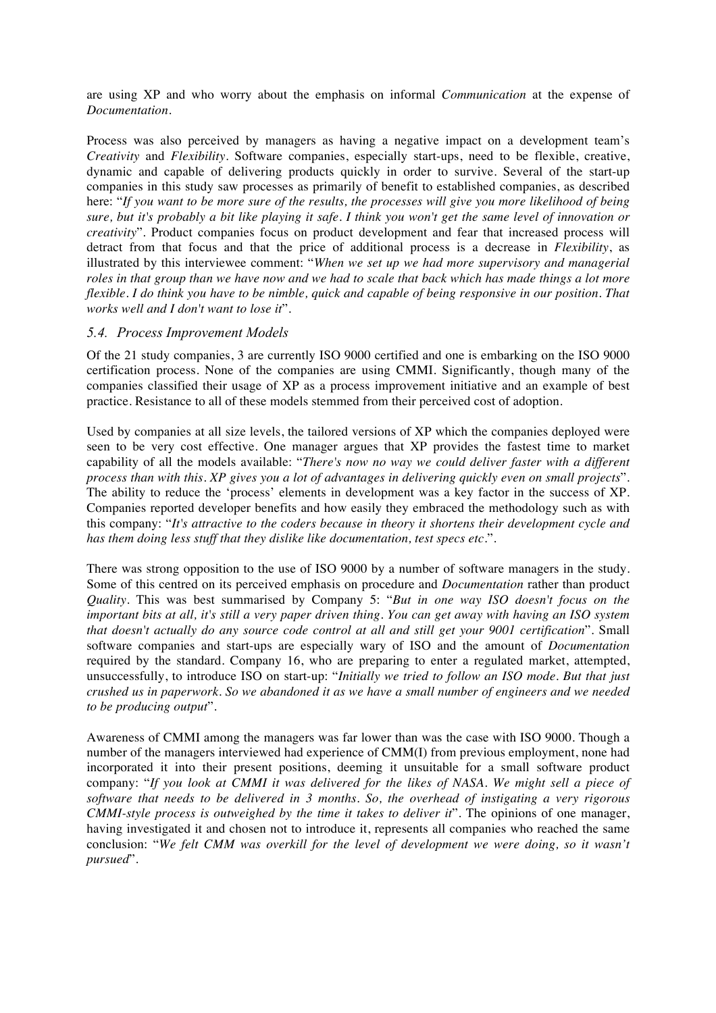are using XP and who worry about the emphasis on informal *Communication* at the expense of *Documentation*.

Process was also perceived by managers as having a negative impact on a development team's *Creativity* and *Flexibility*. Software companies, especially start-ups, need to be flexible, creative, dynamic and capable of delivering products quickly in order to survive. Several of the start-up companies in this study saw processes as primarily of benefit to established companies, as described here: "*If you want to be more sure of the results, the processes will give you more likelihood of being sure, but it's probably a bit like playing it safe. I think you won't get the same level of innovation or creativity*". Product companies focus on product development and fear that increased process will detract from that focus and that the price of additional process is a decrease in *Flexibility*, as illustrated by this interviewee comment: "*When we set up we had more supervisory and managerial roles in that group than we have now and we had to scale that back which has made things a lot more flexible. I do think you have to be nimble, quick and capable of being responsive in our position. That works well and I don't want to lose it*".

### *5.4. Process Improvement Models*

Of the 21 study companies, 3 are currently ISO 9000 certified and one is embarking on the ISO 9000 certification process. None of the companies are using CMMI. Significantly, though many of the companies classified their usage of XP as a process improvement initiative and an example of best practice. Resistance to all of these models stemmed from their perceived cost of adoption.

Used by companies at all size levels, the tailored versions of XP which the companies deployed were seen to be very cost effective. One manager argues that XP provides the fastest time to market capability of all the models available: "*There's now no way we could deliver faster with a different process than with this. XP gives you a lot of advantages in delivering quickly even on small projects*". The ability to reduce the 'process' elements in development was a key factor in the success of XP. Companies reported developer benefits and how easily they embraced the methodology such as with this company: "*It's attractive to the coders because in theory it shortens their development cycle and has them doing less stuff that they dislike like documentation, test specs etc.*".

There was strong opposition to the use of ISO 9000 by a number of software managers in the study. Some of this centred on its perceived emphasis on procedure and *Documentation* rather than product *Quality*. This was best summarised by Company 5: "*But in one way ISO doesn't focus on the important bits at all, it's still a very paper driven thing. You can get away with having an ISO system that doesn't actually do any source code control at all and still get your 9001 certification*". Small software companies and start-ups are especially wary of ISO and the amount of *Documentation* required by the standard. Company 16, who are preparing to enter a regulated market, attempted, unsuccessfully, to introduce ISO on start-up: "*Initially we tried to follow an ISO mode. But that just crushed us in paperwork. So we abandoned it as we have a small number of engineers and we needed to be producing output*".

Awareness of CMMI among the managers was far lower than was the case with ISO 9000. Though a number of the managers interviewed had experience of CMM(I) from previous employment, none had incorporated it into their present positions, deeming it unsuitable for a small software product company: "*If you look at CMMI it was delivered for the likes of NASA. We might sell a piece of software that needs to be delivered in 3 months. So, the overhead of instigating a very rigorous CMMI-style process is outweighed by the time it takes to deliver it*". The opinions of one manager, having investigated it and chosen not to introduce it, represents all companies who reached the same conclusion: "*We felt CMM was overkill for the level of development we were doing, so it wasn't pursued*".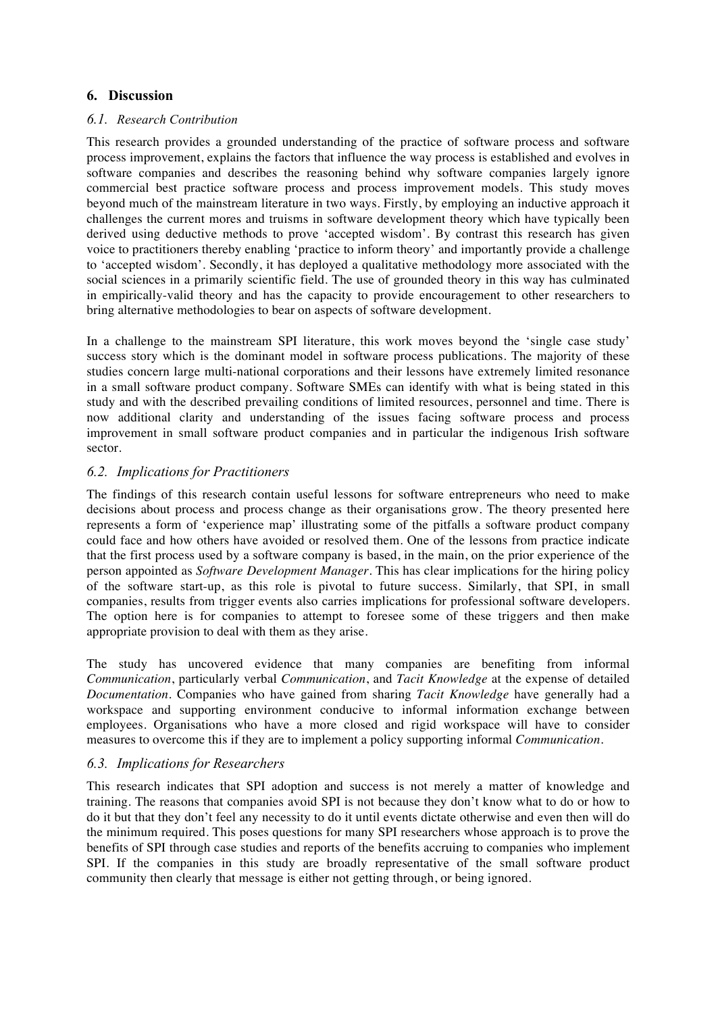## **6. Discussion**

#### *6.1. Research Contribution*

This research provides a grounded understanding of the practice of software process and software process improvement, explains the factors that influence the way process is established and evolves in software companies and describes the reasoning behind why software companies largely ignore commercial best practice software process and process improvement models. This study moves beyond much of the mainstream literature in two ways. Firstly, by employing an inductive approach it challenges the current mores and truisms in software development theory which have typically been derived using deductive methods to prove 'accepted wisdom'. By contrast this research has given voice to practitioners thereby enabling 'practice to inform theory' and importantly provide a challenge to 'accepted wisdom'. Secondly, it has deployed a qualitative methodology more associated with the social sciences in a primarily scientific field. The use of grounded theory in this way has culminated in empirically-valid theory and has the capacity to provide encouragement to other researchers to bring alternative methodologies to bear on aspects of software development.

In a challenge to the mainstream SPI literature, this work moves beyond the 'single case study' success story which is the dominant model in software process publications. The majority of these studies concern large multi-national corporations and their lessons have extremely limited resonance in a small software product company. Software SMEs can identify with what is being stated in this study and with the described prevailing conditions of limited resources, personnel and time. There is now additional clarity and understanding of the issues facing software process and process improvement in small software product companies and in particular the indigenous Irish software sector.

### *6.2. Implications for Practitioners*

The findings of this research contain useful lessons for software entrepreneurs who need to make decisions about process and process change as their organisations grow. The theory presented here represents a form of 'experience map' illustrating some of the pitfalls a software product company could face and how others have avoided or resolved them. One of the lessons from practice indicate that the first process used by a software company is based, in the main, on the prior experience of the person appointed as *Software Development Manager*. This has clear implications for the hiring policy of the software start-up, as this role is pivotal to future success. Similarly, that SPI, in small companies, results from trigger events also carries implications for professional software developers. The option here is for companies to attempt to foresee some of these triggers and then make appropriate provision to deal with them as they arise.

The study has uncovered evidence that many companies are benefiting from informal *Communication*, particularly verbal *Communication*, and *Tacit Knowledge* at the expense of detailed *Documentation*. Companies who have gained from sharing *Tacit Knowledge* have generally had a workspace and supporting environment conducive to informal information exchange between employees. Organisations who have a more closed and rigid workspace will have to consider measures to overcome this if they are to implement a policy supporting informal *Communication*.

## *6.3. Implications for Researchers*

This research indicates that SPI adoption and success is not merely a matter of knowledge and training. The reasons that companies avoid SPI is not because they don't know what to do or how to do it but that they don't feel any necessity to do it until events dictate otherwise and even then will do the minimum required. This poses questions for many SPI researchers whose approach is to prove the benefits of SPI through case studies and reports of the benefits accruing to companies who implement SPI. If the companies in this study are broadly representative of the small software product community then clearly that message is either not getting through, or being ignored.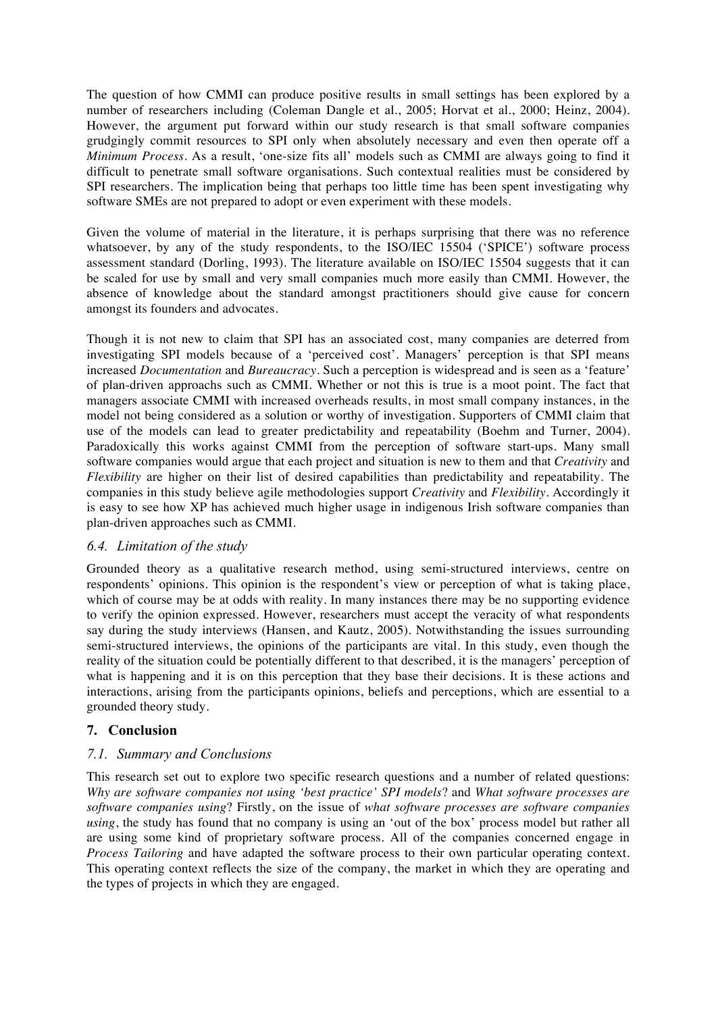The question of how CMMI can produce positive results in small settings has been explored by a number of researchers including (Coleman Dangle et al., 2005; Horvat et al., 2000; Heinz, 2004). However, the argument put forward within our study research is that small software companies grudgingly commit resources to SPI only when absolutely necessary and even then operate off a *Minimum Process*. As a result, 'one-size fits all' models such as CMMI are always going to find it difficult to penetrate small software organisations. Such contextual realities must be considered by SPI researchers. The implication being that perhaps too little time has been spent investigating why software SMEs are not prepared to adopt or even experiment with these models.

Given the volume of material in the literature, it is perhaps surprising that there was no reference whatsoever, by any of the study respondents, to the ISO/IEC 15504 ('SPICE') software process assessment standard (Dorling, 1993). The literature available on ISO/IEC 15504 suggests that it can be scaled for use by small and very small companies much more easily than CMMI. However, the absence of knowledge about the standard amongst practitioners should give cause for concern amongst its founders and advocates.

Though it is not new to claim that SPI has an associated cost, many companies are deterred from investigating SPI models because of a 'perceived cost'. Managers' perception is that SPI means increased *Documentation* and *Bureaucracy*. Such a perception is widespread and is seen as a 'feature' of plan-driven approachs such as CMMI. Whether or not this is true is a moot point. The fact that managers associate CMMI with increased overheads results, in most small company instances, in the model not being considered as a solution or worthy of investigation. Supporters of CMMI claim that use of the models can lead to greater predictability and repeatability (Boehm and Turner, 2004). Paradoxically this works against CMMI from the perception of software start-ups. Many small software companies would argue that each project and situation is new to them and that *Creativity* and *Flexibility* are higher on their list of desired capabilities than predictability and repeatability. The companies in this study believe agile methodologies support *Creativity* and *Flexibility*. Accordingly it is easy to see how XP has achieved much higher usage in indigenous Irish software companies than plan-driven approaches such as CMMI.

#### *6.4. Limitation of the study*

Grounded theory as a qualitative research method, using semi-structured interviews, centre on respondents' opinions. This opinion is the respondent's view or perception of what is taking place, which of course may be at odds with reality. In many instances there may be no supporting evidence to verify the opinion expressed. However, researchers must accept the veracity of what respondents say during the study interviews (Hansen, and Kautz, 2005). Notwithstanding the issues surrounding semi-structured interviews, the opinions of the participants are vital. In this study, even though the reality of the situation could be potentially different to that described, it is the managers' perception of what is happening and it is on this perception that they base their decisions. It is these actions and interactions, arising from the participants opinions, beliefs and perceptions, which are essential to a grounded theory study.

## **7. Conclusion**

#### *7.1. Summary and Conclusions*

This research set out to explore two specific research questions and a number of related questions: *Why are software companies not using 'best practice' SPI models*? and *What software processes are software companies using*? Firstly, on the issue of *what software processes are software companies using*, the study has found that no company is using an 'out of the box' process model but rather all are using some kind of proprietary software process. All of the companies concerned engage in *Process Tailoring* and have adapted the software process to their own particular operating context. This operating context reflects the size of the company, the market in which they are operating and the types of projects in which they are engaged.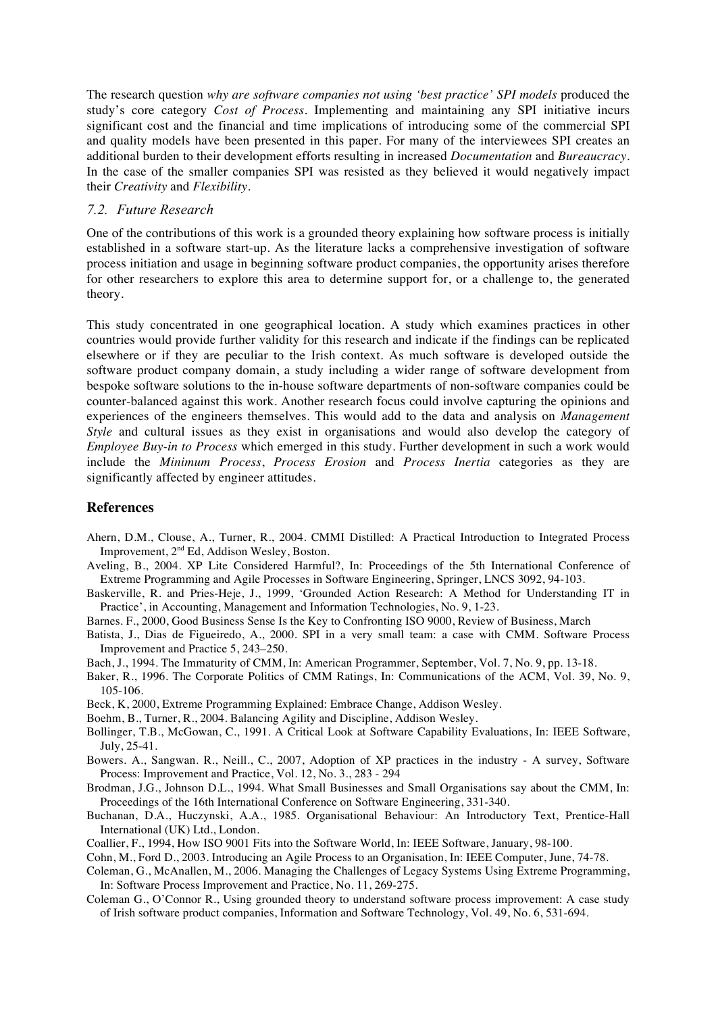The research question *why are software companies not using 'best practice' SPI models* produced the study's core category *Cost of Process*. Implementing and maintaining any SPI initiative incurs significant cost and the financial and time implications of introducing some of the commercial SPI and quality models have been presented in this paper. For many of the interviewees SPI creates an additional burden to their development efforts resulting in increased *Documentation* and *Bureaucracy*. In the case of the smaller companies SPI was resisted as they believed it would negatively impact their *Creativity* and *Flexibility*.

### *7.2. Future Research*

One of the contributions of this work is a grounded theory explaining how software process is initially established in a software start-up. As the literature lacks a comprehensive investigation of software process initiation and usage in beginning software product companies, the opportunity arises therefore for other researchers to explore this area to determine support for, or a challenge to, the generated theory.

This study concentrated in one geographical location. A study which examines practices in other countries would provide further validity for this research and indicate if the findings can be replicated elsewhere or if they are peculiar to the Irish context. As much software is developed outside the software product company domain, a study including a wider range of software development from bespoke software solutions to the in-house software departments of non-software companies could be counter-balanced against this work. Another research focus could involve capturing the opinions and experiences of the engineers themselves. This would add to the data and analysis on *Management Style* and cultural issues as they exist in organisations and would also develop the category of *Employee Buy-in to Process* which emerged in this study. Further development in such a work would include the *Minimum Process*, *Process Erosion* and *Process Inertia* categories as they are significantly affected by engineer attitudes.

#### **References**

- Ahern, D.M., Clouse, A., Turner, R., 2004. CMMI Distilled: A Practical Introduction to Integrated Process Improvement, 2<sup>nd</sup> Ed, Addison Wesley, Boston.
- Aveling, B., 2004. XP Lite Considered Harmful?, In: Proceedings of the 5th International Conference of Extreme Programming and Agile Processes in Software Engineering, Springer, LNCS 3092, 94-103.
- Baskerville, R. and Pries-Heje, J., 1999, 'Grounded Action Research: A Method for Understanding IT in Practice', in Accounting, Management and Information Technologies, No. 9, 1-23.
- Barnes. F., 2000, Good Business Sense Is the Key to Confronting ISO 9000, Review of Business, March
- Batista, J., Dias de Figueiredo, A., 2000. SPI in a very small team: a case with CMM. Software Process Improvement and Practice 5, 243–250.
- Bach, J., 1994. The Immaturity of CMM, In: American Programmer, September, Vol. 7, No. 9, pp. 13-18.
- Baker, R., 1996. The Corporate Politics of CMM Ratings, In: Communications of the ACM, Vol. 39, No. 9, 105-106.
- Beck, K, 2000, Extreme Programming Explained: Embrace Change, Addison Wesley.
- Boehm, B., Turner, R., 2004. Balancing Agility and Discipline, Addison Wesley.
- Bollinger, T.B., McGowan, C., 1991. A Critical Look at Software Capability Evaluations, In: IEEE Software, July, 25-41.
- Bowers. A., Sangwan. R., Neill., C., 2007, Adoption of XP practices in the industry A survey, Software Process: Improvement and Practice, Vol. 12, No. 3., 283 - 294
- Brodman, J.G., Johnson D.L., 1994. What Small Businesses and Small Organisations say about the CMM, In: Proceedings of the 16th International Conference on Software Engineering, 331-340.
- Buchanan, D.A., Huczynski, A.A., 1985. Organisational Behaviour: An Introductory Text, Prentice-Hall International (UK) Ltd., London.
- Coallier, F., 1994, How ISO 9001 Fits into the Software World, In: IEEE Software, January, 98-100.
- Cohn, M., Ford D., 2003. Introducing an Agile Process to an Organisation, In: IEEE Computer, June, 74-78.
- Coleman, G., McAnallen, M., 2006. Managing the Challenges of Legacy Systems Using Extreme Programming, In: Software Process Improvement and Practice, No. 11, 269-275.
- Coleman G., O'Connor R., Using grounded theory to understand software process improvement: A case study of Irish software product companies, Information and Software Technology, Vol. 49, No. 6, 531-694.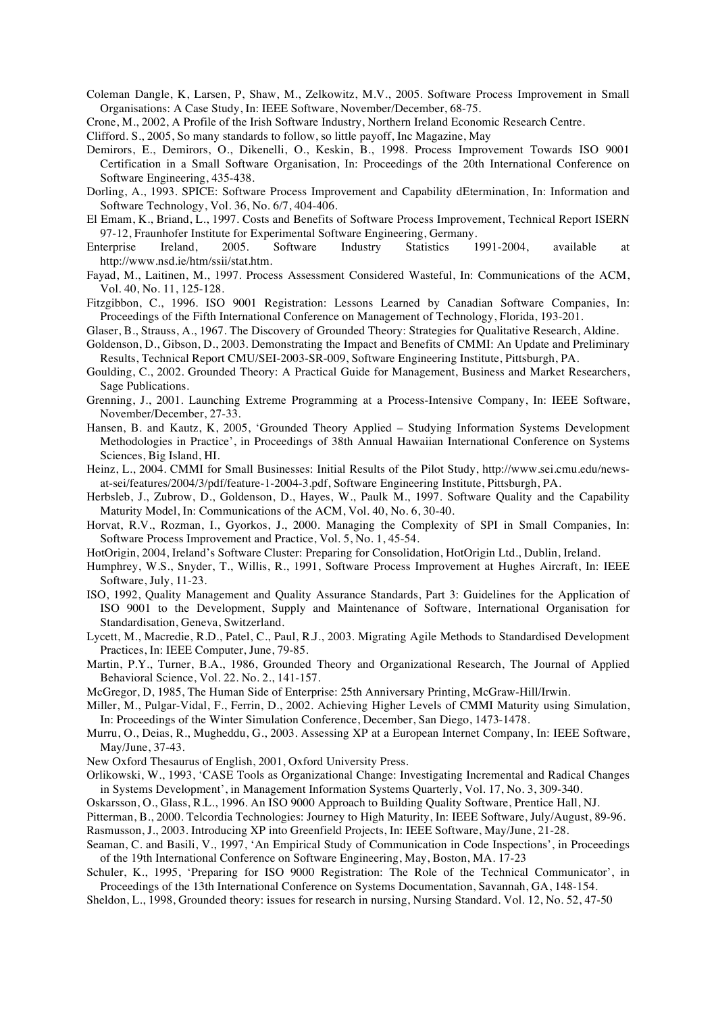Coleman Dangle, K, Larsen, P, Shaw, M., Zelkowitz, M.V., 2005. Software Process Improvement in Small Organisations: A Case Study, In: IEEE Software, November/December, 68-75.

Crone, M., 2002, A Profile of the Irish Software Industry, Northern Ireland Economic Research Centre.

Clifford. S., 2005, So many standards to follow, so little payoff, Inc Magazine, May

- Demirors, E., Demirors, O., Dikenelli, O., Keskin, B., 1998. Process Improvement Towards ISO 9001 Certification in a Small Software Organisation, In: Proceedings of the 20th International Conference on Software Engineering, 435-438.
- Dorling, A., 1993. SPICE: Software Process Improvement and Capability dEtermination, In: Information and Software Technology, Vol. 36, No. 6/7, 404-406.
- El Emam, K., Briand, L., 1997. Costs and Benefits of Software Process Improvement, Technical Report ISERN 97-12, Fraunhofer Institute for Experimental Software Engineering, Germany.<br>
Industry Statistics 1991-2004.<br>
Software Industry Statistics 1991-2004.
- Enterprise Ireland, 2005. Software Industry Statistics 1991-2004, available at http://www.nsd.ie/htm/ssii/stat.htm.
- Fayad, M., Laitinen, M., 1997. Process Assessment Considered Wasteful, In: Communications of the ACM, Vol. 40, No. 11, 125-128.
- Fitzgibbon, C., 1996. ISO 9001 Registration: Lessons Learned by Canadian Software Companies, In: Proceedings of the Fifth International Conference on Management of Technology, Florida, 193-201.
- Glaser, B., Strauss, A., 1967. The Discovery of Grounded Theory: Strategies for Qualitative Research, Aldine.
- Goldenson, D., Gibson, D., 2003. Demonstrating the Impact and Benefits of CMMI: An Update and Preliminary Results, Technical Report CMU/SEI-2003-SR-009, Software Engineering Institute, Pittsburgh, PA.
- Goulding, C., 2002. Grounded Theory: A Practical Guide for Management, Business and Market Researchers, Sage Publications.
- Grenning, J., 2001. Launching Extreme Programming at a Process-Intensive Company, In: IEEE Software, November/December, 27-33.
- Hansen, B. and Kautz, K, 2005, 'Grounded Theory Applied Studying Information Systems Development Methodologies in Practice', in Proceedings of 38th Annual Hawaiian International Conference on Systems Sciences, Big Island, HI.
- Heinz, L., 2004. CMMI for Small Businesses: Initial Results of the Pilot Study, http://www.sei.cmu.edu/newsat-sei/features/2004/3/pdf/feature-1-2004-3.pdf, Software Engineering Institute, Pittsburgh, PA.
- Herbsleb, J., Zubrow, D., Goldenson, D., Hayes, W., Paulk M., 1997. Software Quality and the Capability Maturity Model, In: Communications of the ACM, Vol. 40, No. 6, 30-40.
- Horvat, R.V., Rozman, I., Gyorkos, J., 2000. Managing the Complexity of SPI in Small Companies, In: Software Process Improvement and Practice, Vol. 5, No. 1, 45-54.
- HotOrigin, 2004, Ireland's Software Cluster: Preparing for Consolidation, HotOrigin Ltd., Dublin, Ireland.
- Humphrey, W.S., Snyder, T., Willis, R., 1991, Software Process Improvement at Hughes Aircraft, In: IEEE Software, July, 11-23.
- ISO, 1992, Quality Management and Quality Assurance Standards, Part 3: Guidelines for the Application of ISO 9001 to the Development, Supply and Maintenance of Software, International Organisation for Standardisation, Geneva, Switzerland.
- Lycett, M., Macredie, R.D., Patel, C., Paul, R.J., 2003. Migrating Agile Methods to Standardised Development Practices, In: IEEE Computer, June, 79-85.
- Martin, P.Y., Turner, B.A., 1986, Grounded Theory and Organizational Research, The Journal of Applied Behavioral Science, Vol. 22. No. 2., 141-157.
- McGregor, D, 1985, The Human Side of Enterprise: 25th Anniversary Printing, McGraw-Hill/Irwin.
- Miller, M., Pulgar-Vidal, F., Ferrin, D., 2002. Achieving Higher Levels of CMMI Maturity using Simulation, In: Proceedings of the Winter Simulation Conference, December, San Diego, 1473-1478.
- Murru, O., Deias, R., Mugheddu, G., 2003. Assessing XP at a European Internet Company, In: IEEE Software, May/June, 37-43.
- New Oxford Thesaurus of English, 2001, Oxford University Press.
- Orlikowski, W., 1993, 'CASE Tools as Organizational Change: Investigating Incremental and Radical Changes in Systems Development', in Management Information Systems Quarterly, Vol. 17, No. 3, 309-340.
- Oskarsson, O., Glass, R.L., 1996. An ISO 9000 Approach to Building Quality Software, Prentice Hall, NJ.
- Pitterman, B., 2000. Telcordia Technologies: Journey to High Maturity, In: IEEE Software, July/August, 89-96. Rasmusson, J., 2003. Introducing XP into Greenfield Projects, In: IEEE Software, May/June, 21-28.
- Seaman, C. and Basili, V., 1997, 'An Empirical Study of Communication in Code Inspections', in Proceedings of the 19th International Conference on Software Engineering, May, Boston, MA. 17-23
- Schuler, K., 1995, 'Preparing for ISO 9000 Registration: The Role of the Technical Communicator', in Proceedings of the 13th International Conference on Systems Documentation, Savannah, GA, 148-154.
- Sheldon, L., 1998, Grounded theory: issues for research in nursing, Nursing Standard. Vol. 12, No. 52, 47-50